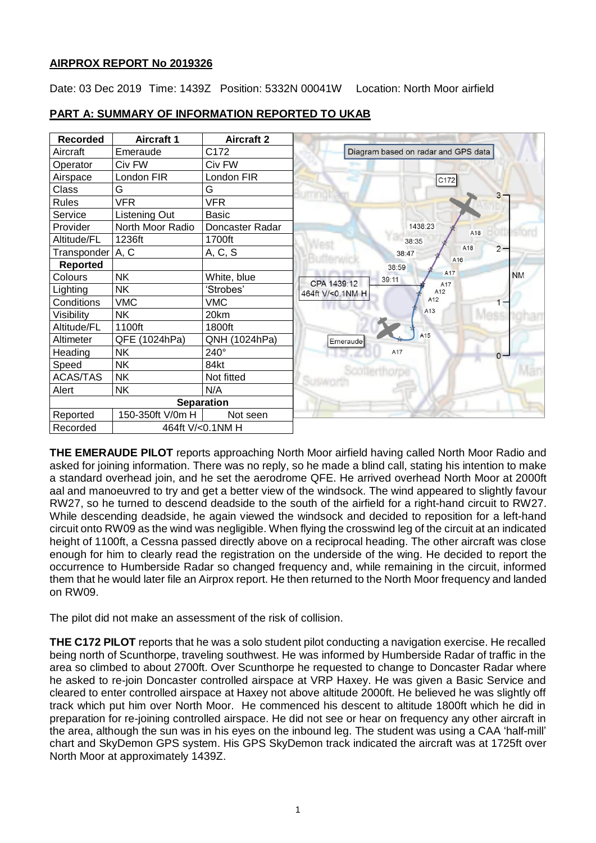## **AIRPROX REPORT No 2019326**

Date: 03 Dec 2019 Time: 1439Z Position: 5332N 00041W Location: North Moor airfield



## **PART A: SUMMARY OF INFORMATION REPORTED TO UKAB**

**THE EMERAUDE PILOT** reports approaching North Moor airfield having called North Moor Radio and asked for joining information. There was no reply, so he made a blind call, stating his intention to make a standard overhead join, and he set the aerodrome QFE. He arrived overhead North Moor at 2000ft aal and manoeuvred to try and get a better view of the windsock. The wind appeared to slightly favour RW27, so he turned to descend deadside to the south of the airfield for a right-hand circuit to RW27. While descending deadside, he again viewed the windsock and decided to reposition for a left-hand circuit onto RW09 as the wind was negligible. When flying the crosswind leg of the circuit at an indicated height of 1100ft, a Cessna passed directly above on a reciprocal heading. The other aircraft was close enough for him to clearly read the registration on the underside of the wing. He decided to report the occurrence to Humberside Radar so changed frequency and, while remaining in the circuit, informed them that he would later file an Airprox report. He then returned to the North Moor frequency and landed on RW09.

The pilot did not make an assessment of the risk of collision.

**THE C172 PILOT** reports that he was a solo student pilot conducting a navigation exercise. He recalled being north of Scunthorpe, traveling southwest. He was informed by Humberside Radar of traffic in the area so climbed to about 2700ft. Over Scunthorpe he requested to change to Doncaster Radar where he asked to re-join Doncaster controlled airspace at VRP Haxey. He was given a Basic Service and cleared to enter controlled airspace at Haxey not above altitude 2000ft. He believed he was slightly off track which put him over North Moor. He commenced his descent to altitude 1800ft which he did in preparation for re-joining controlled airspace. He did not see or hear on frequency any other aircraft in the area, although the sun was in his eyes on the inbound leg. The student was using a CAA 'half-mill' chart and SkyDemon GPS system. His GPS SkyDemon track indicated the aircraft was at 1725ft over North Moor at approximately 1439Z.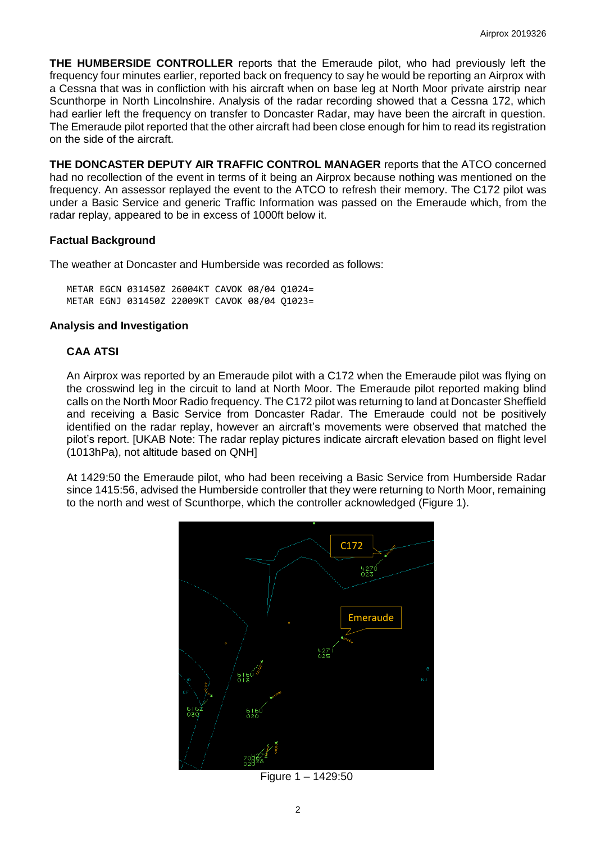**THE HUMBERSIDE CONTROLLER** reports that the Emeraude pilot, who had previously left the frequency four minutes earlier, reported back on frequency to say he would be reporting an Airprox with a Cessna that was in confliction with his aircraft when on base leg at North Moor private airstrip near Scunthorpe in North Lincolnshire. Analysis of the radar recording showed that a Cessna 172, which had earlier left the frequency on transfer to Doncaster Radar, may have been the aircraft in question. The Emeraude pilot reported that the other aircraft had been close enough for him to read its registration on the side of the aircraft.

**THE DONCASTER DEPUTY AIR TRAFFIC CONTROL MANAGER** reports that the ATCO concerned had no recollection of the event in terms of it being an Airprox because nothing was mentioned on the frequency. An assessor replayed the event to the ATCO to refresh their memory. The C172 pilot was under a Basic Service and generic Traffic Information was passed on the Emeraude which, from the radar replay, appeared to be in excess of 1000ft below it.

### **Factual Background**

The weather at Doncaster and Humberside was recorded as follows:

METAR EGCN 031450Z 26004KT CAVOK 08/04 Q1024= METAR EGNJ 031450Z 22009KT CAVOK 08/04 Q1023=

#### **Analysis and Investigation**

## **CAA ATSI**

An Airprox was reported by an Emeraude pilot with a C172 when the Emeraude pilot was flying on the crosswind leg in the circuit to land at North Moor. The Emeraude pilot reported making blind calls on the North Moor Radio frequency. The C172 pilot was returning to land at Doncaster Sheffield and receiving a Basic Service from Doncaster Radar. The Emeraude could not be positively identified on the radar replay, however an aircraft's movements were observed that matched the pilot's report. [UKAB Note: The radar replay pictures indicate aircraft elevation based on flight level (1013hPa), not altitude based on QNH]

At 1429:50 the Emeraude pilot, who had been receiving a Basic Service from Humberside Radar since 1415:56, advised the Humberside controller that they were returning to North Moor, remaining to the north and west of Scunthorpe, which the controller acknowledged (Figure 1).



Figure 1 – 1429:50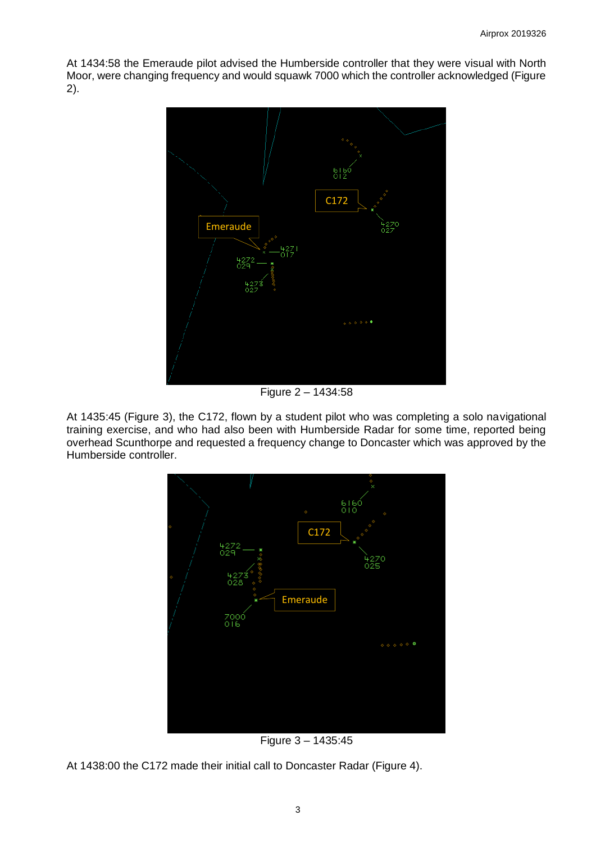At 1434:58 the Emeraude pilot advised the Humberside controller that they were visual with North Moor, were changing frequency and would squawk 7000 which the controller acknowledged (Figure 2).



Figure 2 – 1434:58

At 1435:45 (Figure 3), the C172, flown by a student pilot who was completing a solo navigational training exercise, and who had also been with Humberside Radar for some time, reported being overhead Scunthorpe and requested a frequency change to Doncaster which was approved by the Humberside controller.



Figure 3 – 1435:45

At 1438:00 the C172 made their initial call to Doncaster Radar (Figure 4).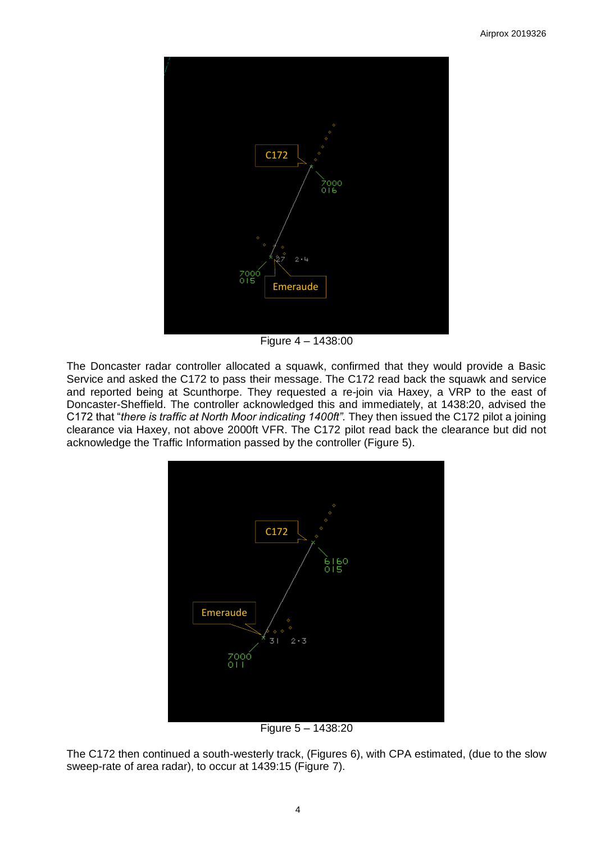

Figure 4 – 1438:00

The Doncaster radar controller allocated a squawk, confirmed that they would provide a Basic Service and asked the C172 to pass their message. The C172 read back the squawk and service and reported being at Scunthorpe. They requested a re-join via Haxey, a VRP to the east of Doncaster-Sheffield. The controller acknowledged this and immediately, at 1438:20, advised the C172 that "*there is traffic at North Moor indicating 1400ft".* They then issued the C172 pilot a joining clearance via Haxey, not above 2000ft VFR. The C172 pilot read back the clearance but did not acknowledge the Traffic Information passed by the controller (Figure 5).



Figure 5 – 1438:20

The C172 then continued a south-westerly track, (Figures 6), with CPA estimated, (due to the slow sweep-rate of area radar), to occur at 1439:15 (Figure 7).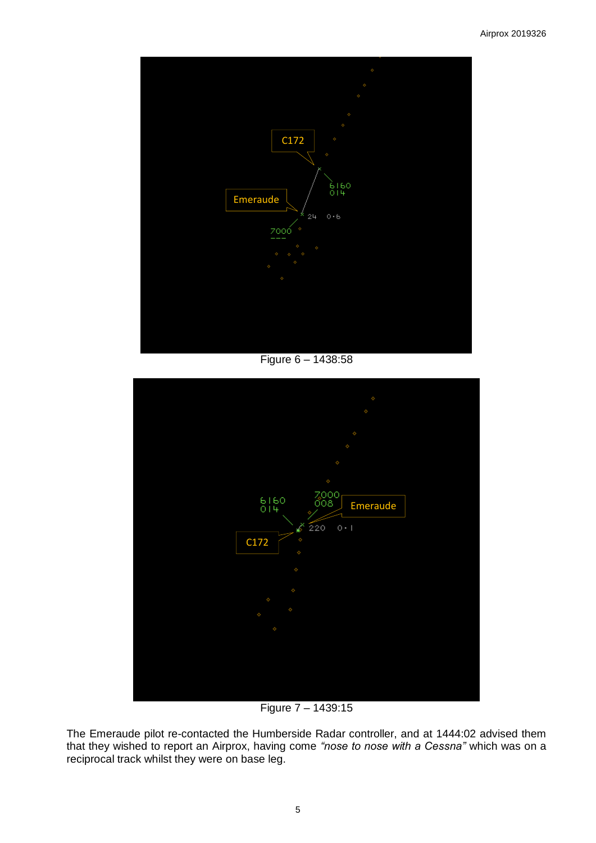

Figure 6 – 1438:58



Figure 7 – 1439:15

The Emeraude pilot re-contacted the Humberside Radar controller, and at 1444:02 advised them that they wished to report an Airprox, having come *"nose to nose with a Cessna"* which was on a reciprocal track whilst they were on base leg.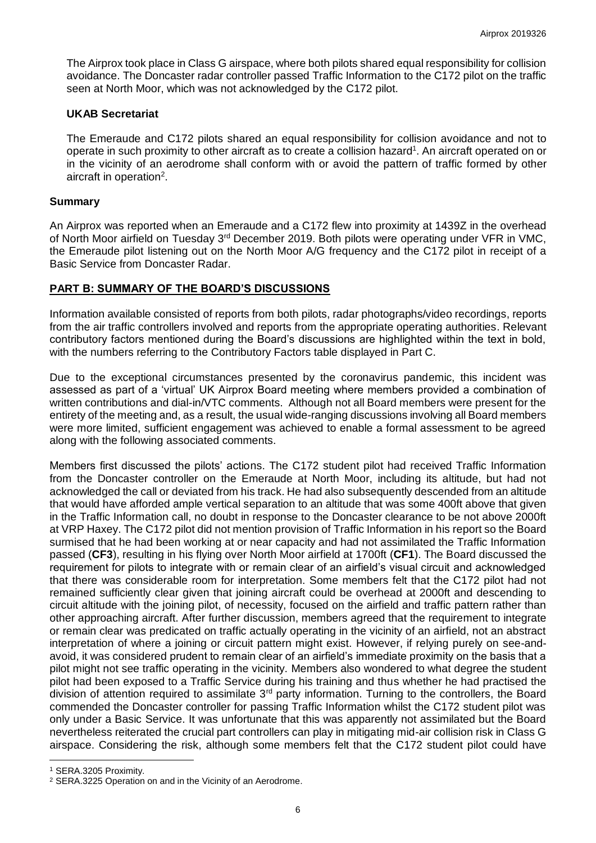The Airprox took place in Class G airspace, where both pilots shared equal responsibility for collision avoidance. The Doncaster radar controller passed Traffic Information to the C172 pilot on the traffic seen at North Moor, which was not acknowledged by the C172 pilot.

#### **UKAB Secretariat**

The Emeraude and C172 pilots shared an equal responsibility for collision avoidance and not to operate in such proximity to other aircraft as to create a collision hazard<sup>1</sup>. An aircraft operated on or in the vicinity of an aerodrome shall conform with or avoid the pattern of traffic formed by other aircraft in operation<sup>2</sup>.

#### **Summary**

An Airprox was reported when an Emeraude and a C172 flew into proximity at 1439Z in the overhead of North Moor airfield on Tuesday 3<sup>rd</sup> December 2019. Both pilots were operating under VFR in VMC, the Emeraude pilot listening out on the North Moor A/G frequency and the C172 pilot in receipt of a Basic Service from Doncaster Radar.

### **PART B: SUMMARY OF THE BOARD'S DISCUSSIONS**

Information available consisted of reports from both pilots, radar photographs/video recordings, reports from the air traffic controllers involved and reports from the appropriate operating authorities. Relevant contributory factors mentioned during the Board's discussions are highlighted within the text in bold, with the numbers referring to the Contributory Factors table displayed in Part C.

Due to the exceptional circumstances presented by the coronavirus pandemic, this incident was assessed as part of a 'virtual' UK Airprox Board meeting where members provided a combination of written contributions and dial-in/VTC comments. Although not all Board members were present for the entirety of the meeting and, as a result, the usual wide-ranging discussions involving all Board members were more limited, sufficient engagement was achieved to enable a formal assessment to be agreed along with the following associated comments.

Members first discussed the pilots' actions. The C172 student pilot had received Traffic Information from the Doncaster controller on the Emeraude at North Moor, including its altitude, but had not acknowledged the call or deviated from his track. He had also subsequently descended from an altitude that would have afforded ample vertical separation to an altitude that was some 400ft above that given in the Traffic Information call, no doubt in response to the Doncaster clearance to be not above 2000ft at VRP Haxey. The C172 pilot did not mention provision of Traffic Information in his report so the Board surmised that he had been working at or near capacity and had not assimilated the Traffic Information passed (**CF3**), resulting in his flying over North Moor airfield at 1700ft (**CF1**). The Board discussed the requirement for pilots to integrate with or remain clear of an airfield's visual circuit and acknowledged that there was considerable room for interpretation. Some members felt that the C172 pilot had not remained sufficiently clear given that joining aircraft could be overhead at 2000ft and descending to circuit altitude with the joining pilot, of necessity, focused on the airfield and traffic pattern rather than other approaching aircraft. After further discussion, members agreed that the requirement to integrate or remain clear was predicated on traffic actually operating in the vicinity of an airfield, not an abstract interpretation of where a joining or circuit pattern might exist. However, if relying purely on see-andavoid, it was considered prudent to remain clear of an airfield's immediate proximity on the basis that a pilot might not see traffic operating in the vicinity. Members also wondered to what degree the student pilot had been exposed to a Traffic Service during his training and thus whether he had practised the division of attention required to assimilate 3<sup>rd</sup> party information. Turning to the controllers, the Board commended the Doncaster controller for passing Traffic Information whilst the C172 student pilot was only under a Basic Service. It was unfortunate that this was apparently not assimilated but the Board nevertheless reiterated the crucial part controllers can play in mitigating mid-air collision risk in Class G airspace. Considering the risk, although some members felt that the C172 student pilot could have

 $\overline{a}$ 

<sup>1</sup> SERA.3205 Proximity.

<sup>2</sup> SERA.3225 Operation on and in the Vicinity of an Aerodrome.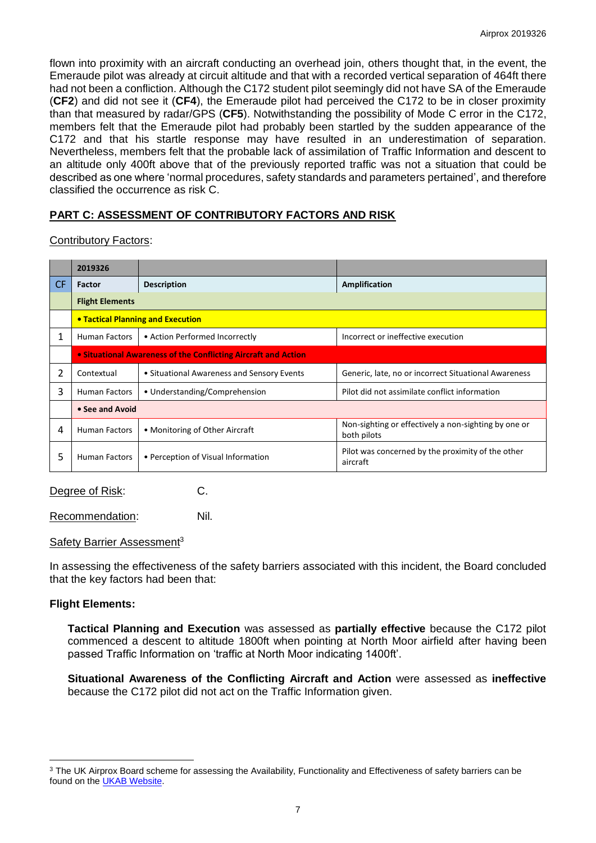flown into proximity with an aircraft conducting an overhead join, others thought that, in the event, the Emeraude pilot was already at circuit altitude and that with a recorded vertical separation of 464ft there had not been a confliction. Although the C172 student pilot seemingly did not have SA of the Emeraude (**CF2**) and did not see it (**CF4**), the Emeraude pilot had perceived the C172 to be in closer proximity than that measured by radar/GPS (**CF5**). Notwithstanding the possibility of Mode C error in the C172, members felt that the Emeraude pilot had probably been startled by the sudden appearance of the C172 and that his startle response may have resulted in an underestimation of separation. Nevertheless, members felt that the probable lack of assimilation of Traffic Information and descent to an altitude only 400ft above that of the previously reported traffic was not a situation that could be described as one where 'normal procedures, safety standards and parameters pertained', and therefore classified the occurrence as risk C.

# **PART C: ASSESSMENT OF CONTRIBUTORY FACTORS AND RISK**

Contributory Factors:

|     | 2019326                                  |                                                                |                                                                     |  |  |  |  |  |
|-----|------------------------------------------|----------------------------------------------------------------|---------------------------------------------------------------------|--|--|--|--|--|
| CF. | Factor                                   | <b>Description</b>                                             | Amplification                                                       |  |  |  |  |  |
|     | <b>Flight Elements</b>                   |                                                                |                                                                     |  |  |  |  |  |
|     | <b>• Tactical Planning and Execution</b> |                                                                |                                                                     |  |  |  |  |  |
| 1   | <b>Human Factors</b>                     | • Action Performed Incorrectly                                 | Incorrect or ineffective execution                                  |  |  |  |  |  |
|     |                                          | • Situational Awareness of the Conflicting Aircraft and Action |                                                                     |  |  |  |  |  |
| 2   | Contextual                               | • Situational Awareness and Sensory Events                     | Generic, late, no or incorrect Situational Awareness                |  |  |  |  |  |
| 3   | <b>Human Factors</b>                     | • Understanding/Comprehension                                  | Pilot did not assimilate conflict information                       |  |  |  |  |  |
|     | • See and Avoid                          |                                                                |                                                                     |  |  |  |  |  |
| 4   | <b>Human Factors</b>                     | • Monitoring of Other Aircraft                                 | Non-sighting or effectively a non-sighting by one or<br>both pilots |  |  |  |  |  |
| 5   | <b>Human Factors</b>                     | • Perception of Visual Information                             | Pilot was concerned by the proximity of the other<br>aircraft       |  |  |  |  |  |

Degree of Risk: C.

Recommendation: Nil.

Safety Barrier Assessment<sup>3</sup>

In assessing the effectiveness of the safety barriers associated with this incident, the Board concluded that the key factors had been that:

#### **Flight Elements:**

 $\overline{a}$ 

**Tactical Planning and Execution** was assessed as **partially effective** because the C172 pilot commenced a descent to altitude 1800ft when pointing at North Moor airfield after having been passed Traffic Information on 'traffic at North Moor indicating 1400ft'.

**Situational Awareness of the Conflicting Aircraft and Action** were assessed as **ineffective** because the C172 pilot did not act on the Traffic Information given.

<sup>&</sup>lt;sup>3</sup> The UK Airprox Board scheme for assessing the Availability, Functionality and Effectiveness of safety barriers can be found on the [UKAB Website.](http://www.airproxboard.org.uk/Learn-more/Airprox-Barrier-Assessment/)